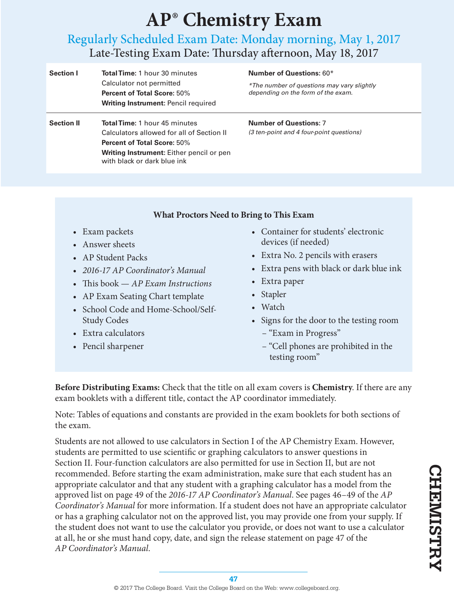# **AP® Chemistry Exam**

# Regularly Scheduled Exam Date: Monday morning, May 1, 2017 Late-Testing Exam Date: Thursday afternoon, May 18, 2017

| <b>Section I</b>  | <b>Total Time: 1 hour 30 minutes</b><br>Calculator not permitted<br><b>Percent of Total Score: 50%</b><br><b>Writing Instrument: Pencil required</b>                                               | <b>Number of Questions: 60*</b><br>*The number of questions may vary slightly<br>depending on the form of the exam. |
|-------------------|----------------------------------------------------------------------------------------------------------------------------------------------------------------------------------------------------|---------------------------------------------------------------------------------------------------------------------|
| <b>Section II</b> | <b>Total Time: 1 hour 45 minutes</b><br>Calculators allowed for all of Section II<br><b>Percent of Total Score: 50%</b><br>Writing Instrument: Either pencil or pen<br>with black or dark blue ink | <b>Number of Questions: 7</b><br>(3 ten-point and 4 four-point questions)                                           |

### **What Proctors Need to Bring to This Exam**

- Exam packets
- Answer sheets
- AP Student Packs
- *2016-17 AP Coordinator's Manual*
- This book *AP Exam Instructions*
- AP Exam Seating Chart template
- School Code and Home-School/Self-Study Codes
- Extra calculators
- Pencil sharpener
- Container for students' electronic devices (if needed)
- Extra No. 2 pencils with erasers
- Extra pens with black or dark blue ink
- Extra paper
- Stapler
- Watch
- Signs for the door to the testing room
	- "Exam in Progress"
	- "Cell phones are prohibited in the testing room"

**Before Distributing Exams:** Check that the title on all exam covers is **Chemistry**. If there are any exam booklets with a different title, contact the AP coordinator immediately.

Note: Tables of equations and constants are provided in the exam booklets for both sections of the exam.

Students are not allowed to use calculators in Section I of the AP Chemistry Exam. However, students are permitted to use scientific or graphing calculators to answer questions in Section II. Four-function calculators are also permitted for use in Section II, but are not recommended. Before starting the exam administration, make sure that each student has an appropriate calculator and that any student with a graphing calculator has a model from the approved list on page 49 of the *2016-17 AP Coordinator's Manual*. See pages 46–49 of the *AP Coordinator's Manual* for more information. If a student does not have an appropriate calculator or has a graphing calculator not on the approved list, you may provide one from your supply. If the student does not want to use the calculator you provide, or does not want to use a calculator at all, he or she must hand copy, date, and sign the release statement on page 47 of the *AP Coordinator's Manual*.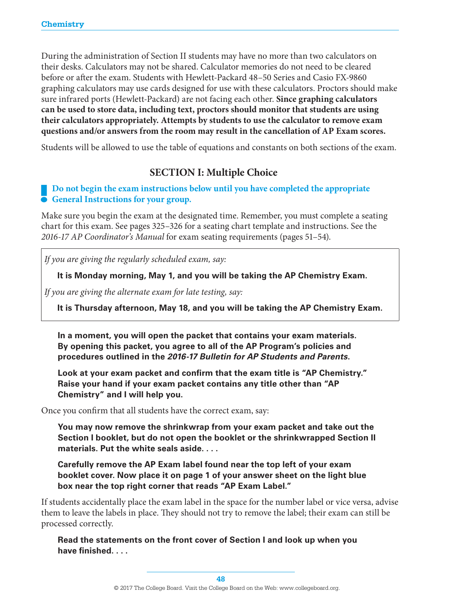During the administration of Section II students may have no more than two calculators on their desks. Calculators may not be shared. Calculator memories do not need to be cleared before or after the exam. Students with Hewlett-Packard 48–50 Series and Casio FX-9860 graphing calculators may use cards designed for use with these calculators. Proctors should make sure infrared ports (Hewlett-Packard) are not facing each other. **Since graphing calculators can be used to store data, including text, proctors should monitor that students are using their calculators appropriately. Attempts by students to use the calculator to remove exam questions and/or answers from the room may result in the cancellation of AP Exam scores.**

Students will be allowed to use the table of equations and constants on both sections of the exam.

# **SECTION I: Multiple Choice**

## **Do not begin the exam instructions is General Instructions for your group. Do not begin the exam instructions below until you have completed the appropriate**

Make sure you begin the exam at the designated time. Remember, you must complete a seating chart for this exam. See pages 325–326 for a seating chart template and instructions. See the *2016-17 AP Coordinator's Manual* for exam seating requirements (pages 51–54).

*If you are giving the regularly scheduled exam, say:*

**It is Monday morning, May 1, and you will be taking the AP Chemistry Exam.**

*If you are giving the alternate exam for late testing, say:*

**It is Thursday afternoon, May 18, and you will be taking the AP Chemistry Exam.**

**In a moment, you will open the packet that contains your exam materials. By opening this packet, you agree to all of the AP Program's policies and procedures outlined in the** *2016-17 Bulletin for AP Students and Parents***.** 

**Look at your exam packet and confirm that the exam title is "AP Chemistry." Raise your hand if your exam packet contains any title other than "AP Chemistry" and I will help you.**

Once you confirm that all students have the correct exam, say:

**You may now remove the shrinkwrap from your exam packet and take out the Section I booklet, but do not open the booklet or the shrinkwrapped Section II materials. Put the white seals aside. . . .**

**Carefully remove the AP Exam label found near the top left of your exam booklet cover. Now place it on page 1 of your answer sheet on the light blue box near the top right corner that reads "AP Exam Label."**

If students accidentally place the exam label in the space for the number label or vice versa, advise them to leave the labels in place. They should not try to remove the label; their exam can still be processed correctly.

**Read the statements on the front cover of Section I and look up when you have finished. . . .**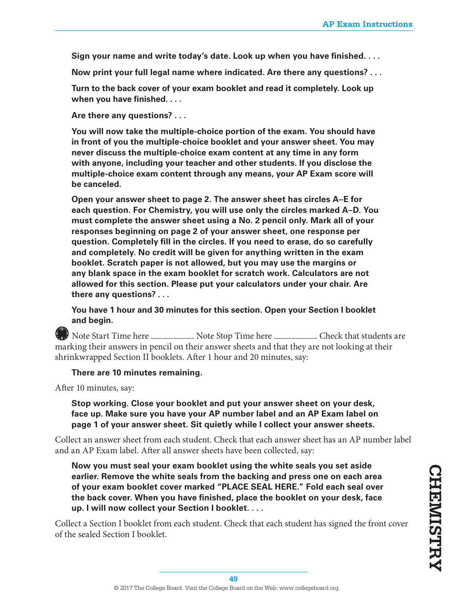**Sign your name and write today's date. Look up when you have finished. . . .**

**Now print your full legal name where indicated. Are there any questions? . . .**

**Turn to the back cover of your exam booklet and read it completely. Look up when you have finished. . . .**

**Are there any questions? . . .**

**You will now take the multiple-choice portion of the exam. You should have in front of you the multiple-choice booklet and your answer sheet. You may never discuss the multiple-choice exam content at any time in any form with anyone, including your teacher and other students. If you disclose the multiple-choice exam content through any means, your AP Exam score will be canceled.**

**Open your answer sheet to page 2. The answer sheet has circles A–E for each question. For Chemistry, you will use only the circles marked A–D. You must complete the answer sheet using a No. 2 pencil only. Mark all of your responses beginning on page 2 of your answer sheet, one response per question. Completely fill in the circles. If you need to erase, do so carefully and completely. No credit will be given for anything written in the exam booklet. Scratch paper is not allowed, but you may use the margins or any blank space in the exam booklet for scratch work. Calculators are not allowed for this section. Please put your calculators under your chair. Are there any questions? . . .**

**You have 1 hour and 30 minutes for this section. Open your Section I booklet and begin.** 

**6 6 3** Note Start Time here . Note Stop Time here . Check that students are marking their answers in pencil on their answer sheets and that they are not looking at their shrinkwrapped Section II booklets. After 1 hour and 20 minutes, say:

#### **There are 10 minutes remaining.**

After 10 minutes, say:

**12**

**Stop working. Close your booklet and put your answer sheet on your desk, face up. Make sure you have your AP number label and an AP Exam label on page 1 of your answer sheet. Sit quietly while I collect your answer sheets.**

Collect an answer sheet from each student. Check that each answer sheet has an AP number label and an AP Exam label. After all answer sheets have been collected, say:

**Now you must seal your exam booklet using the white seals you set aside earlier. Remove the white seals from the backing and press one on each area of your exam booklet cover marked "PLACE SEAL HERE." Fold each seal over the back cover. When you have finished, place the booklet on your desk, face up. I will now collect your Section I booklet. . . .** 

Collect a Section I booklet from each student. Check that each student has signed the front cover of the sealed Section I booklet.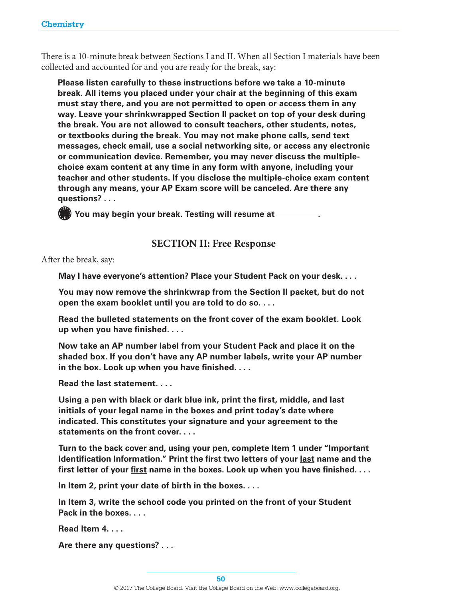There is a 10-minute break between Sections I and II. When all Section I materials have been collected and accounted for and you are ready for the break, say:

**Please listen carefully to these instructions before we take a 10-minute break. All items you placed under your chair at the beginning of this exam must stay there, and you are not permitted to open or access them in any way. Leave your shrinkwrapped Section II packet on top of your desk during the break. You are not allowed to consult teachers, other students, notes, or textbooks during the break. You may not make phone calls, send text messages, check email, use a social networking site, or access any electronic or communication device. Remember, you may never discuss the multiplechoice exam content at any time in any form with anyone, including your teacher and other students. If you disclose the multiple-choice exam content through any means, your AP Exam score will be canceled. Are there any questions? . . .** 

**12 6 <sup>9</sup> <sup>3</sup> You may begin your break. Testing will resume at .** 

#### **SECTION II: Free Response**

After the break, say:

**May I have everyone's attention? Place your Student Pack on your desk. . . .**

**You may now remove the shrinkwrap from the Section II packet, but do not open the exam booklet until you are told to do so. . . .** 

**Read the bulleted statements on the front cover of the exam booklet. Look up when you have finished. . . .**

**Now take an AP number label from your Student Pack and place it on the shaded box. If you don't have any AP number labels, write your AP number in the box. Look up when you have finished. . . .**

**Read the last statement. . . .** 

**Using a pen with black or dark blue ink, print the first, middle, and last initials of your legal name in the boxes and print today's date where indicated. This constitutes your signature and your agreement to the statements on the front cover. . . .**

**Turn to the back cover and, using your pen, complete Item 1 under "Important Identification Information." Print the first two letters of your last name and the first letter of your first name in the boxes. Look up when you have finished. . . .**

**In Item 2, print your date of birth in the boxes. . . .**

**In Item 3, write the school code you printed on the front of your Student Pack in the boxes. . . .**

**Read Item 4. . . .**

**Are there any questions? . . .**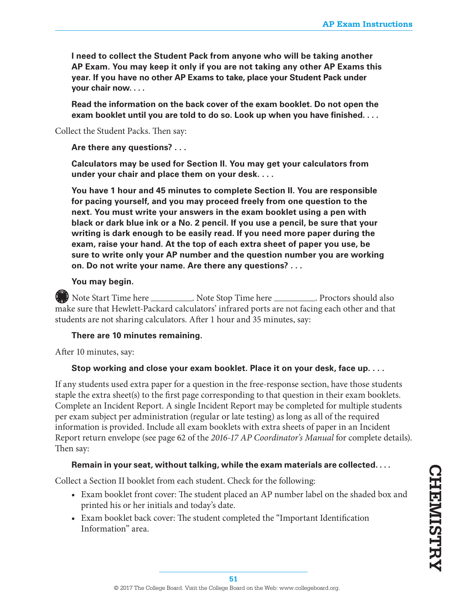**I need to collect the Student Pack from anyone who will be taking another AP Exam. You may keep it only if you are not taking any other AP Exams this year. If you have no other AP Exams to take, place your Student Pack under your chair now. . . .**

**Read the information on the back cover of the exam booklet. Do not open the exam booklet until you are told to do so. Look up when you have finished. . . .**

Collect the Student Packs. Then say:

**Are there any questions? . . .**

**Calculators may be used for Section II. You may get your calculators from under your chair and place them on your desk. . . .**

**You have 1 hour and 45 minutes to complete Section II. You are responsible for pacing yourself, and you may proceed freely from one question to the next. You must write your answers in the exam booklet using a pen with black or dark blue ink or a No. 2 pencil. If you use a pencil, be sure that your writing is dark enough to be easily read. If you need more paper during the exam, raise your hand. At the top of each extra sheet of paper you use, be sure to write only your AP number and the question number you are working on. Do not write your name. Are there any questions? . . .**

#### **You may begin.**

**12 6 9** Note Start Time here \_\_\_\_\_\_\_\_\_\_\_\_. Note Stop Time here \_\_\_\_\_\_\_\_\_\_\_. Proctors should also make sure that Hewlett-Packard calculators' infrared ports are not facing each other and that students are not sharing calculators. After 1 hour and 35 minutes, say:

#### **There are 10 minutes remaining.**

After 10 minutes, say:

#### **Stop working and close your exam booklet. Place it on your desk, face up. . . .**

If any students used extra paper for a question in the free-response section, have those students staple the extra sheet(s) to the first page corresponding to that question in their exam booklets. Complete an Incident Report. A single Incident Report may be completed for multiple students per exam subject per administration (regular or late testing) as long as all of the required information is provided. Include all exam booklets with extra sheets of paper in an Incident Report return envelope (see page 62 of the *2016-17 AP Coordinator's Manual* for complete details). Then say:

#### **Remain in your seat, without talking, while the exam materials are collected. . . .**

Collect a Section II booklet from each student. Check for the following:

- **•** Exam booklet front cover: The student placed an AP number label on the shaded box and printed his or her initials and today's date.
- **•** Exam booklet back cover: The student completed the "Important Identification Information" area.